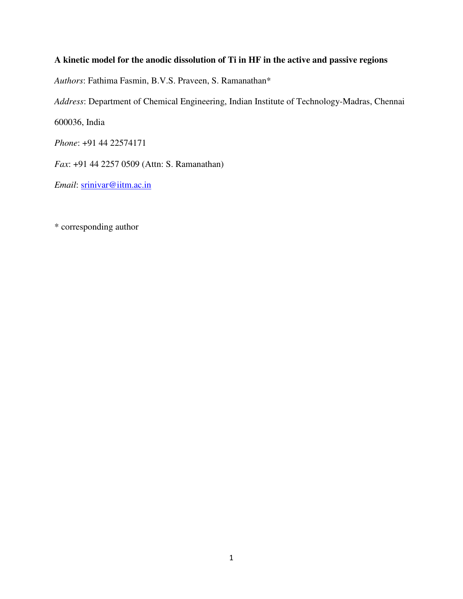## **A kinetic model for the anodic dissolution of Ti in HF in the active and passive regions**

*Authors*: Fathima Fasmin, B.V.S. Praveen, S. Ramanathan\*

*Address*: Department of Chemical Engineering, Indian Institute of Technology-Madras, Chennai

600036, India

*Phone*: +91 44 22574171

*Fax*: +91 44 2257 0509 (Attn: S. Ramanathan)

*Email*: srinivar@iitm.ac.in

\* corresponding author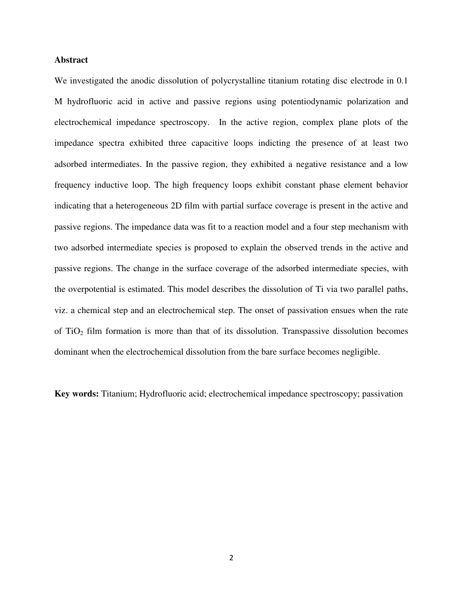## **Abstract**

We investigated the anodic dissolution of polycrystalline titanium rotating disc electrode in 0.1 M hydrofluoric acid in active and passive regions using potentiodynamic polarization and electrochemical impedance spectroscopy. In the active region, complex plane plots of the impedance spectra exhibited three capacitive loops indicting the presence of at least two adsorbed intermediates. In the passive region, they exhibited a negative resistance and a low frequency inductive loop. The high frequency loops exhibit constant phase element behavior indicating that a heterogeneous 2D film with partial surface coverage is present in the active and passive regions. The impedance data was fit to a reaction model and a four step mechanism with two adsorbed intermediate species is proposed to explain the observed trends in the active and passive regions. The change in the surface coverage of the adsorbed intermediate species, with the overpotential is estimated. This model describes the dissolution of Ti via two parallel paths, viz. a chemical step and an electrochemical step. The onset of passivation ensues when the rate of  $TiO<sub>2</sub>$  film formation is more than that of its dissolution. Transpassive dissolution becomes dominant when the electrochemical dissolution from the bare surface becomes negligible.

**Key words:** Titanium; Hydrofluoric acid; electrochemical impedance spectroscopy; passivation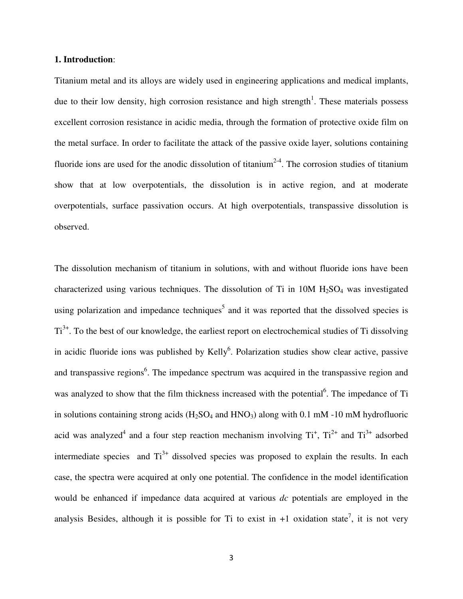#### **1. Introduction**:

Titanium metal and its alloys are widely used in engineering applications and medical implants, due to their low density, high corrosion resistance and high strength<sup>1</sup>. These materials possess excellent corrosion resistance in acidic media, through the formation of protective oxide film on the metal surface. In order to facilitate the attack of the passive oxide layer, solutions containing fluoride ions are used for the anodic dissolution of titanium<sup>2-4</sup>. The corrosion studies of titanium show that at low overpotentials, the dissolution is in active region, and at moderate overpotentials, surface passivation occurs. At high overpotentials, transpassive dissolution is observed.

The dissolution mechanism of titanium in solutions, with and without fluoride ions have been characterized using various techniques. The dissolution of Ti in  $10M H<sub>2</sub>SO<sub>4</sub>$  was investigated using polarization and impedance techniques<sup>5</sup> and it was reported that the dissolved species is  $Ti<sup>3+</sup>$ . To the best of our knowledge, the earliest report on electrochemical studies of Ti dissolving in acidic fluoride ions was published by Kelly<sup>6</sup>. Polarization studies show clear active, passive and transpassive regions<sup>6</sup>. The impedance spectrum was acquired in the transpassive region and was analyzed to show that the film thickness increased with the potential<sup>6</sup>. The impedance of Ti in solutions containing strong acids  $(H_2SO_4$  and  $HNO_3)$  along with 0.1 mM -10 mM hydrofluoric acid was analyzed<sup>4</sup> and a four step reaction mechanism involving  $Ti^+, Ti^{2+}$  and  $Ti^{3+}$  adsorbed intermediate species and  $Ti^{3+}$  dissolved species was proposed to explain the results. In each case, the spectra were acquired at only one potential. The confidence in the model identification would be enhanced if impedance data acquired at various *dc* potentials are employed in the analysis Besides, although it is possible for Ti to exist in  $+1$  oxidation state<sup>7</sup>, it is not very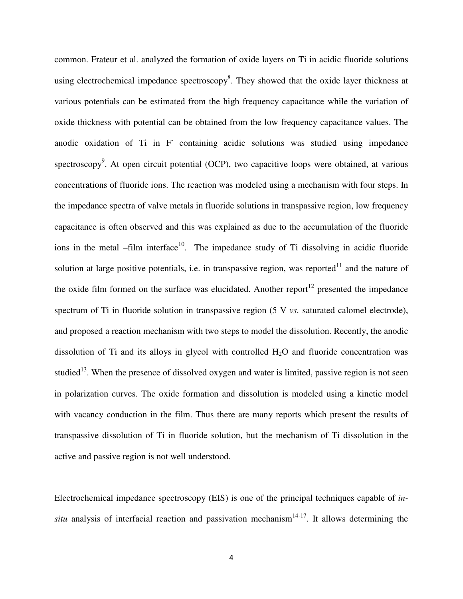common. Frateur et al. analyzed the formation of oxide layers on Ti in acidic fluoride solutions using electrochemical impedance spectroscopy<sup>8</sup>. They showed that the oxide layer thickness at various potentials can be estimated from the high frequency capacitance while the variation of oxide thickness with potential can be obtained from the low frequency capacitance values. The anodic oxidation of Ti in F containing acidic solutions was studied using impedance spectroscopy<sup>9</sup>. At open circuit potential (OCP), two capacitive loops were obtained, at various concentrations of fluoride ions. The reaction was modeled using a mechanism with four steps. In the impedance spectra of valve metals in fluoride solutions in transpassive region, low frequency capacitance is often observed and this was explained as due to the accumulation of the fluoride ions in the metal –film interface<sup>10</sup>. The impedance study of Ti dissolving in acidic fluoride solution at large positive potentials, i.e. in transpassive region, was reported $11$  and the nature of the oxide film formed on the surface was elucidated. Another report<sup>12</sup> presented the impedance spectrum of Ti in fluoride solution in transpassive region (5 V *vs.* saturated calomel electrode), and proposed a reaction mechanism with two steps to model the dissolution. Recently, the anodic dissolution of Ti and its alloys in glycol with controlled  $H_2O$  and fluoride concentration was studied<sup>13</sup>. When the presence of dissolved oxygen and water is limited, passive region is not seen in polarization curves. The oxide formation and dissolution is modeled using a kinetic model with vacancy conduction in the film. Thus there are many reports which present the results of transpassive dissolution of Ti in fluoride solution, but the mechanism of Ti dissolution in the active and passive region is not well understood.

Electrochemical impedance spectroscopy (EIS) is one of the principal techniques capable of *insitu* analysis of interfacial reaction and passivation mechanism<sup>14-17</sup>. It allows determining the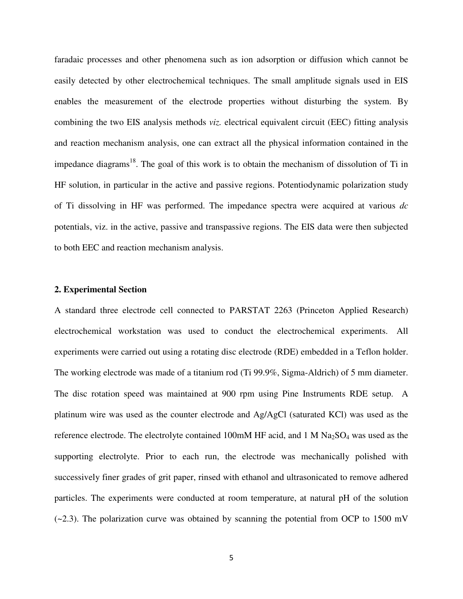faradaic processes and other phenomena such as ion adsorption or diffusion which cannot be easily detected by other electrochemical techniques. The small amplitude signals used in EIS enables the measurement of the electrode properties without disturbing the system. By combining the two EIS analysis methods *viz.* electrical equivalent circuit (EEC) fitting analysis and reaction mechanism analysis, one can extract all the physical information contained in the impedance diagrams<sup>18</sup>. The goal of this work is to obtain the mechanism of dissolution of Ti in HF solution, in particular in the active and passive regions. Potentiodynamic polarization study of Ti dissolving in HF was performed. The impedance spectra were acquired at various *dc*  potentials, viz. in the active, passive and transpassive regions. The EIS data were then subjected to both EEC and reaction mechanism analysis.

## **2. Experimental Section**

A standard three electrode cell connected to PARSTAT 2263 (Princeton Applied Research) electrochemical workstation was used to conduct the electrochemical experiments. All experiments were carried out using a rotating disc electrode (RDE) embedded in a Teflon holder. The working electrode was made of a titanium rod (Ti 99.9%, Sigma-Aldrich) of 5 mm diameter. The disc rotation speed was maintained at 900 rpm using Pine Instruments RDE setup. A platinum wire was used as the counter electrode and Ag/AgCl (saturated KCl) was used as the reference electrode. The electrolyte contained 100mM HF acid, and 1 M  $Na<sub>2</sub>SO<sub>4</sub>$  was used as the supporting electrolyte. Prior to each run, the electrode was mechanically polished with successively finer grades of grit paper, rinsed with ethanol and ultrasonicated to remove adhered particles. The experiments were conducted at room temperature, at natural pH of the solution  $(-2.3)$ . The polarization curve was obtained by scanning the potential from OCP to 1500 mV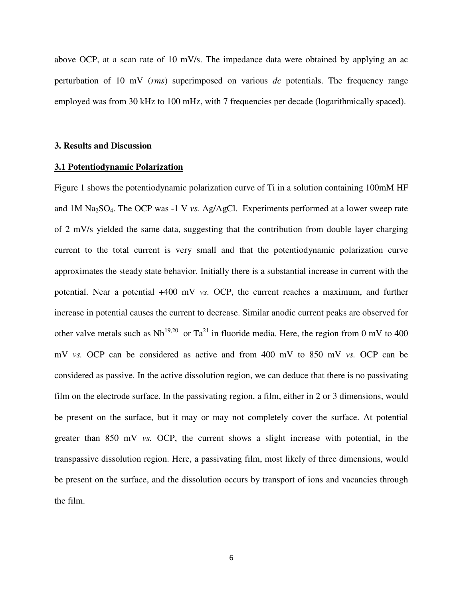above OCP, at a scan rate of 10 mV/s. The impedance data were obtained by applying an ac perturbation of 10 mV (*rms*) superimposed on various *dc* potentials. The frequency range employed was from 30 kHz to 100 mHz, with 7 frequencies per decade (logarithmically spaced).

#### **3. Results and Discussion**

#### **3.1 Potentiodynamic Polarization**

Figure 1 shows the potentiodynamic polarization curve of Ti in a solution containing 100mM HF and 1M Na2SO4. The OCP was -1 V *vs.* Ag/AgCl. Experiments performed at a lower sweep rate of 2 mV/s yielded the same data, suggesting that the contribution from double layer charging current to the total current is very small and that the potentiodynamic polarization curve approximates the steady state behavior. Initially there is a substantial increase in current with the potential. Near a potential +400 mV *vs.* OCP, the current reaches a maximum, and further increase in potential causes the current to decrease. Similar anodic current peaks are observed for other valve metals such as  $Nb^{19,20}$  or  $Ta^{21}$  in fluoride media. Here, the region from 0 mV to 400 mV *vs.* OCP can be considered as active and from 400 mV to 850 mV *vs.* OCP can be considered as passive. In the active dissolution region, we can deduce that there is no passivating film on the electrode surface. In the passivating region, a film, either in 2 or 3 dimensions, would be present on the surface, but it may or may not completely cover the surface. At potential greater than 850 mV *vs.* OCP, the current shows a slight increase with potential, in the transpassive dissolution region. Here, a passivating film, most likely of three dimensions, would be present on the surface, and the dissolution occurs by transport of ions and vacancies through the film.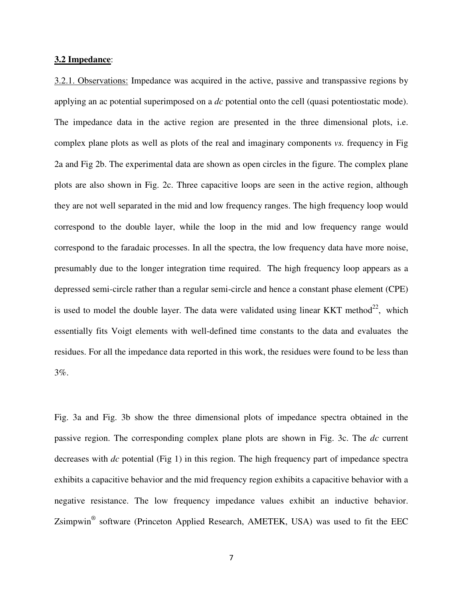## **3.2 Impedance**:

3.2.1. Observations: Impedance was acquired in the active, passive and transpassive regions by applying an ac potential superimposed on a *dc* potential onto the cell (quasi potentiostatic mode). The impedance data in the active region are presented in the three dimensional plots, i.e. complex plane plots as well as plots of the real and imaginary components *vs.* frequency in Fig 2a and Fig 2b. The experimental data are shown as open circles in the figure. The complex plane plots are also shown in Fig. 2c. Three capacitive loops are seen in the active region, although they are not well separated in the mid and low frequency ranges. The high frequency loop would correspond to the double layer, while the loop in the mid and low frequency range would correspond to the faradaic processes. In all the spectra, the low frequency data have more noise, presumably due to the longer integration time required. The high frequency loop appears as a depressed semi-circle rather than a regular semi-circle and hence a constant phase element (CPE) is used to model the double layer. The data were validated using linear KKT method<sup>22</sup>, which essentially fits Voigt elements with well-defined time constants to the data and evaluates the residues. For all the impedance data reported in this work, the residues were found to be less than 3%.

Fig. 3a and Fig. 3b show the three dimensional plots of impedance spectra obtained in the passive region. The corresponding complex plane plots are shown in Fig. 3c. The *dc* current decreases with *dc* potential (Fig 1) in this region. The high frequency part of impedance spectra exhibits a capacitive behavior and the mid frequency region exhibits a capacitive behavior with a negative resistance. The low frequency impedance values exhibit an inductive behavior. Zsimpwin<sup>®</sup> software (Princeton Applied Research, AMETEK, USA) was used to fit the EEC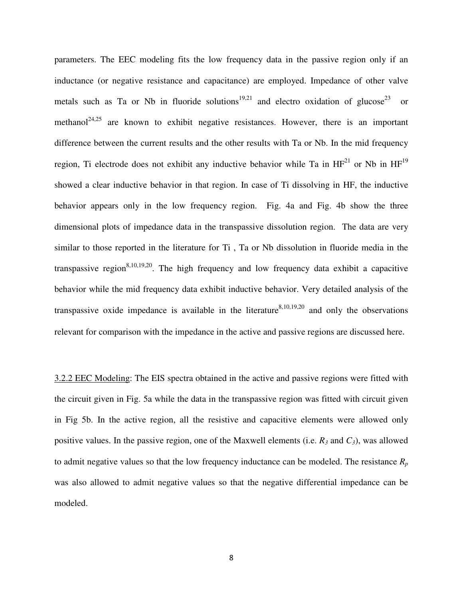parameters. The EEC modeling fits the low frequency data in the passive region only if an inductance (or negative resistance and capacitance) are employed. Impedance of other valve metals such as Ta or Nb in fluoride solutions<sup>19,21</sup> and electro oxidation of glucose<sup>23</sup> or methanol<sup>24,25</sup> are known to exhibit negative resistances. However, there is an important difference between the current results and the other results with Ta or Nb. In the mid frequency region, Ti electrode does not exhibit any inductive behavior while Ta in  $HF<sup>21</sup>$  or Nb in  $HF<sup>19</sup>$ showed a clear inductive behavior in that region. In case of Ti dissolving in HF, the inductive behavior appears only in the low frequency region. Fig. 4a and Fig. 4b show the three dimensional plots of impedance data in the transpassive dissolution region. The data are very similar to those reported in the literature for Ti , Ta or Nb dissolution in fluoride media in the transpassive region<sup>8,10,19,20</sup>. The high frequency and low frequency data exhibit a capacitive behavior while the mid frequency data exhibit inductive behavior. Very detailed analysis of the transpassive oxide impedance is available in the literature<sup>8,10,19,20</sup> and only the observations relevant for comparison with the impedance in the active and passive regions are discussed here.

3.2.2 EEC Modeling: The EIS spectra obtained in the active and passive regions were fitted with the circuit given in Fig. 5a while the data in the transpassive region was fitted with circuit given in Fig 5b. In the active region, all the resistive and capacitive elements were allowed only positive values. In the passive region, one of the Maxwell elements (i.e.  $R_3$  and  $C_3$ ), was allowed to admit negative values so that the low frequency inductance can be modeled. The resistance *R<sup>p</sup>* was also allowed to admit negative values so that the negative differential impedance can be modeled.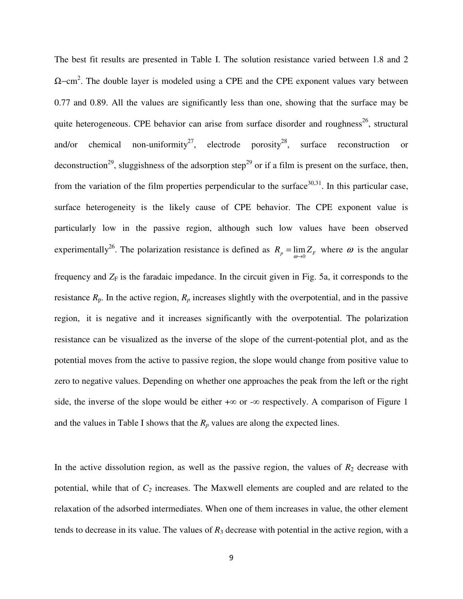The best fit results are presented in Table I. The solution resistance varied between 1.8 and 2  $\Omega$ –cm<sup>2</sup>. The double layer is modeled using a CPE and the CPE exponent values vary between 0.77 and 0.89. All the values are significantly less than one, showing that the surface may be quite heterogeneous. CPE behavior can arise from surface disorder and roughness<sup>26</sup>, structural and/or chemical non-uniformity<sup>27</sup>, electrode porosity<sup>28</sup>, surface reconstruction or deconstruction<sup>29</sup>, sluggishness of the adsorption step<sup>29</sup> or if a film is present on the surface, then, from the variation of the film properties perpendicular to the surface  $30,31$ . In this particular case, surface heterogeneity is the likely cause of CPE behavior. The CPE exponent value is particularly low in the passive region, although such low values have been observed experimentally<sup>26</sup>. The polarization resistance is defined as  $R_p = \lim_{\omega \to 0} Z_F$  where  $\omega$  is the angular frequency and  $Z_F$  is the faradaic impedance. In the circuit given in Fig. 5a, it corresponds to the resistance  $R_p$ . In the active region,  $R_p$  increases slightly with the overpotential, and in the passive region, it is negative and it increases significantly with the overpotential. The polarization resistance can be visualized as the inverse of the slope of the current-potential plot, and as the potential moves from the active to passive region, the slope would change from positive value to zero to negative values. Depending on whether one approaches the peak from the left or the right side, the inverse of the slope would be either  $+\infty$  or  $-\infty$  respectively. A comparison of Figure 1 and the values in Table I shows that the  $R_p$  values are along the expected lines.

In the active dissolution region, as well as the passive region, the values of  $R_2$  decrease with potential, while that of *C2* increases. The Maxwell elements are coupled and are related to the relaxation of the adsorbed intermediates. When one of them increases in value, the other element tends to decrease in its value. The values of  $R_3$  decrease with potential in the active region, with a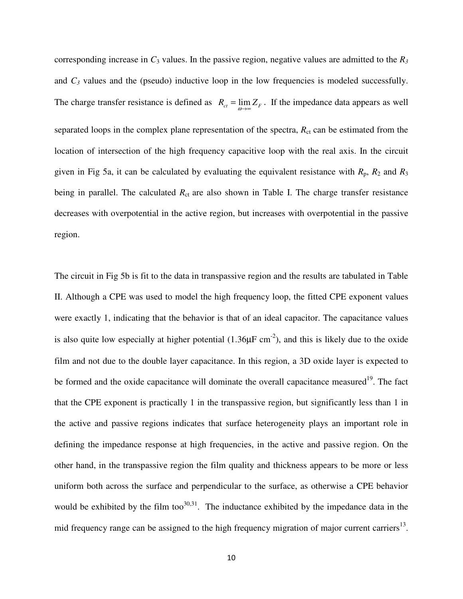corresponding increase in  $C_3$  values. In the passive region, negative values are admitted to the  $R_3$ and  $C_3$  values and the (pseudo) inductive loop in the low frequencies is modeled successfully. The charge transfer resistance is defined as  $R_{ct} = \lim_{\omega \to \infty} Z_F$ . If the impedance data appears as well separated loops in the complex plane representation of the spectra,  $R<sub>ct</sub>$  can be estimated from the location of intersection of the high frequency capacitive loop with the real axis. In the circuit given in Fig 5a, it can be calculated by evaluating the equivalent resistance with  $R_p$ ,  $R_2$  and  $R_3$ being in parallel. The calculated  $R<sub>ct</sub>$  are also shown in Table I. The charge transfer resistance decreases with overpotential in the active region, but increases with overpotential in the passive region.

The circuit in Fig 5b is fit to the data in transpassive region and the results are tabulated in Table II. Although a CPE was used to model the high frequency loop, the fitted CPE exponent values were exactly 1, indicating that the behavior is that of an ideal capacitor. The capacitance values is also quite low especially at higher potential  $(1.36\mu\text{F cm}^2)$ , and this is likely due to the oxide film and not due to the double layer capacitance. In this region, a 3D oxide layer is expected to be formed and the oxide capacitance will dominate the overall capacitance measured<sup>19</sup>. The fact that the CPE exponent is practically 1 in the transpassive region, but significantly less than 1 in the active and passive regions indicates that surface heterogeneity plays an important role in defining the impedance response at high frequencies, in the active and passive region. On the other hand, in the transpassive region the film quality and thickness appears to be more or less uniform both across the surface and perpendicular to the surface, as otherwise a CPE behavior would be exhibited by the film too $30,31$ . The inductance exhibited by the impedance data in the mid frequency range can be assigned to the high frequency migration of major current carriers<sup>13</sup>.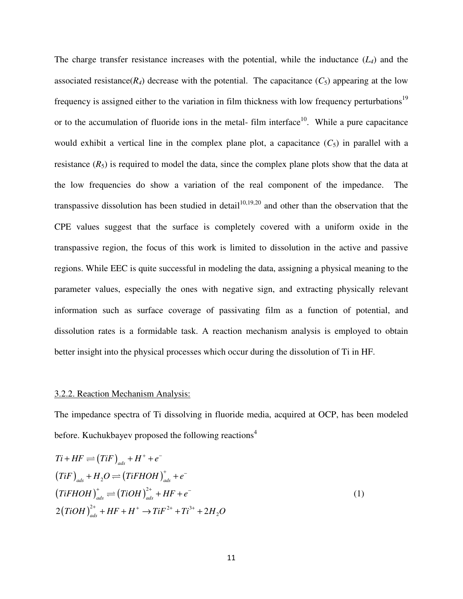The charge transfer resistance increases with the potential, while the inductance (*L4*) and the associated resistance( $R$ <sup>*4*</sup>) decrease with the potential. The capacitance ( $C$ <sub>5</sub>) appearing at the low frequency is assigned either to the variation in film thickness with low frequency perturbations<sup>19</sup> or to the accumulation of fluoride ions in the metal- film interface<sup>10</sup>. While a pure capacitance would exhibit a vertical line in the complex plane plot, a capacitance  $(C_5)$  in parallel with a resistance  $(R_5)$  is required to model the data, since the complex plane plots show that the data at the low frequencies do show a variation of the real component of the impedance. The transpassive dissolution has been studied in detail<sup>10,19,20</sup> and other than the observation that the CPE values suggest that the surface is completely covered with a uniform oxide in the transpassive region, the focus of this work is limited to dissolution in the active and passive regions. While EEC is quite successful in modeling the data, assigning a physical meaning to the parameter values, especially the ones with negative sign, and extracting physically relevant information such as surface coverage of passivating film as a function of potential, and dissolution rates is a formidable task. A reaction mechanism analysis is employed to obtain better insight into the physical processes which occur during the dissolution of Ti in HF.

#### 3.2.2. Reaction Mechanism Analysis:

The impedance spectra of Ti dissolving in fluoride media, acquired at OCP, has been modeled before. Kuchukbayev proposed the following reactions<sup>4</sup>

$$
Ti + HF \rightleftharpoons (TiF)ads + H+ + e-
$$
  
\n
$$
(TiF)ads + H2O \rightleftharpoons (TiFHOH)+ads + e-
$$
  
\n
$$
(TiFHOH)+ads \rightleftharpoons (TiOH)2+ads + HF + e-
$$
  
\n
$$
2(TiOH)2+ads + HF + H+ \rightarrow TiF2+ + Ti3+ + 2H2O
$$
 (1)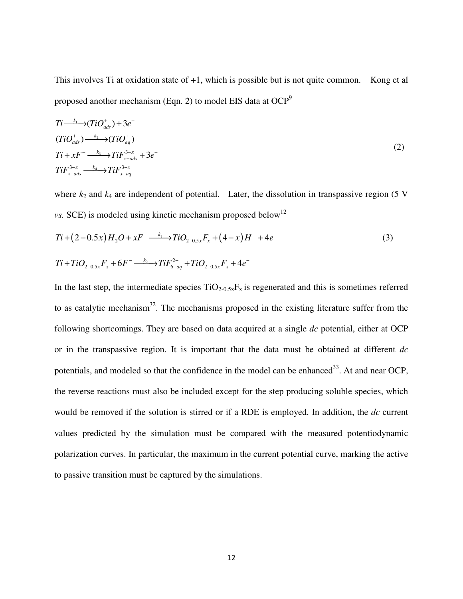This involves Ti at oxidation state of +1, which is possible but is not quite common. Kong et al proposed another mechanism (Eqn. 2) to model EIS data at  $OCP<sup>9</sup>$ 

$$
Ti \xrightarrow{k_1} (TiO_{ads}^+) + 3e^-
$$
  
\n
$$
(TiO_{ads}^+) \xrightarrow{k_2} (TiO_{aq}^+)
$$
  
\n
$$
Ti + xF^- \xrightarrow{k_3} TiF_{x-ads}^{3-x} + 3e^-
$$
  
\n
$$
TiF_{x-ads}^{3-x} \xrightarrow{k_4} TiF_{x-aq}^{3-x}
$$
 (2)

where  $k_2$  and  $k_4$  are independent of potential. Later, the dissolution in transpassive region (5 V *vs.* SCE) is modeled using kinetic mechanism proposed below<sup>12</sup>

$$
Ti + (2-0.5x)H_2O + xF^- \xrightarrow{k_1} TiO_{2-0.5x}F_x + (4-x)H^+ + 4e^-
$$
\n
$$
Ti + TiO_{2-0.5x}F_x + 6F^- \xrightarrow{k_2} TiF_{6-aq}^2 + TiO_{2-0.5x}F_x + 4e^-
$$
\n(3)

In the last step, the intermediate species  $TiO_{2-0.5x}F_x$  is regenerated and this is sometimes referred to as catalytic mechanism<sup>32</sup>. The mechanisms proposed in the existing literature suffer from the following shortcomings. They are based on data acquired at a single *dc* potential, either at OCP or in the transpassive region. It is important that the data must be obtained at different *dc* potentials, and modeled so that the confidence in the model can be enhanced<sup>33</sup>. At and near OCP, the reverse reactions must also be included except for the step producing soluble species, which would be removed if the solution is stirred or if a RDE is employed. In addition, the *dc* current values predicted by the simulation must be compared with the measured potentiodynamic polarization curves. In particular, the maximum in the current potential curve, marking the active to passive transition must be captured by the simulations.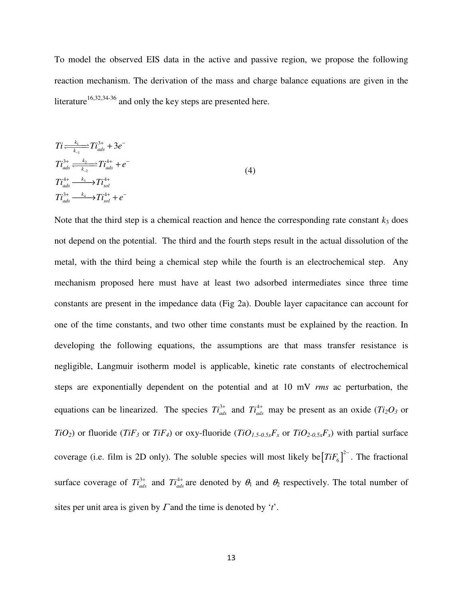To model the observed EIS data in the active and passive region, we propose the following reaction mechanism. The derivation of the mass and charge balance equations are given in the literature<sup>16,32,34-36</sup> and only the key steps are presented here.

$$
Ti \frac{k_1}{k_{-1}} Ti_{ads}^{3+} + 3e^{-}
$$
  
\n
$$
Ti_{ads}^{3+} \xrightarrow{k_2 \atop k_{-2}} Ti_{ads}^{4+} + e^{-}
$$
  
\n
$$
Ti_{ads}^{4+} \xrightarrow{k_3} Ti_{sol}^{4+}
$$
  
\n
$$
Ti_{ads}^{3+} \xrightarrow{k_4} Ti_{sol}^{4+} + e^{-}
$$
  
\n(4)

Note that the third step is a chemical reaction and hence the corresponding rate constant  $k_3$  does not depend on the potential. The third and the fourth steps result in the actual dissolution of the metal, with the third being a chemical step while the fourth is an electrochemical step. Any mechanism proposed here must have at least two adsorbed intermediates since three time constants are present in the impedance data (Fig 2a). Double layer capacitance can account for one of the time constants, and two other time constants must be explained by the reaction. In developing the following equations, the assumptions are that mass transfer resistance is negligible, Langmuir isotherm model is applicable, kinetic rate constants of electrochemical steps are exponentially dependent on the potential and at 10 mV *rms* ac perturbation, the equations can be linearized. The species  $T_i^3$  and  $T_i^4$  may be present as an oxide ( $T_i^2O_3$  or *TiO*<sub>2</sub>) or fluoride (*TiF*<sub>3</sub> or *TiF*<sub>4</sub>) or oxy-fluoride (*TiO*<sub>1.5-0.5x</sub>*F*<sub>x</sub> or *TiO*<sub>2-0.5x</sub>*F*<sub>x</sub>) with partial surface coverage (i.e. film is 2D only). The soluble species will most likely be $[TiF_6]^{2-}$ . The fractional surface coverage of  $Ti_{ads}^{3+}$  and  $Ti_{ads}^{4+}$  are denoted by  $\theta_1$  and  $\theta_2$  respectively. The total number of sites per unit area is given by Γ and the time is denoted by '*t*'.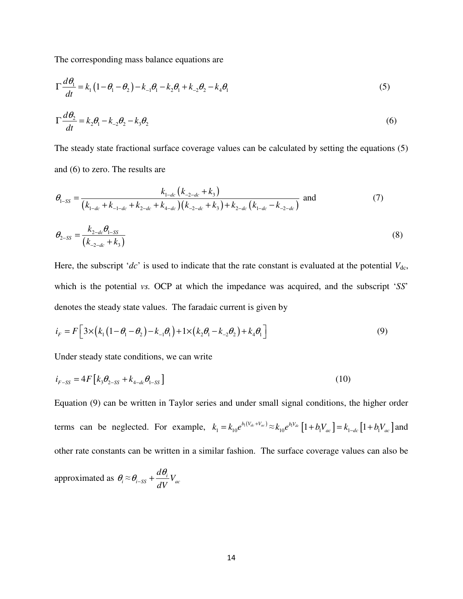The corresponding mass balance equations are

$$
\Gamma \frac{d\theta_1}{dt} = k_1 (1 - \theta_1 - \theta_2) - k_{-1} \theta_1 - k_2 \theta_1 + k_{-2} \theta_2 - k_4 \theta_1
$$
 (5)

$$
\Gamma \frac{d\theta_2}{dt} = k_2 \theta_1 - k_{-2} \theta_2 - k_3 \theta_2 \tag{6}
$$

The steady state fractional surface coverage values can be calculated by setting the equations (5) and (6) to zero. The results are

$$
\theta_{1-SS} = \frac{k_{1-dc} (k_{-2-dc} + k_3)}{(k_{1-dc} + k_{-1-dc} + k_{2-dc} + k_{4-dc}) (k_{-2-dc} + k_3) + k_{2-dc} (k_{1-dc} - k_{-2-dc})}
$$
 and (7)

$$
\theta_{2-SS} = \frac{k_{2-dc} \theta_{1-SS}}{(k_{-2-dc} + k_3)}
$$
(8)

Here, the subscript '*dc*' is used to indicate that the rate constant is evaluated at the potential  $V_{dc}$ , which is the potential *vs.* OCP at which the impedance was acquired, and the subscript '*SS*' denotes the steady state values. The faradaic current is given by

$$
i_F = F\Big[3 \times (k_1(1-\theta_1-\theta_2)-k_{-1}\theta_1) + 1 \times (k_2\theta_1-k_{-2}\theta_2) + k_4\theta_1\Big]
$$
(9)

Under steady state conditions, we can write

$$
i_{F-SS} = 4F[k_3\theta_{2-SS} + k_{4-dc}\theta_{1-SS}]
$$
\n(10)

Equation (9) can be written in Taylor series and under small signal conditions, the higher order terms can be neglected. For example,  $k_1 = k_{10}e^{b_1(V_{dc} + V_{ac})} \approx k_{10}e^{b_1V_{dc}}[1 + b_1V_{ac}] = k_{1-dc}[1 + b_1V_{ac}]$  and other rate constants can be written in a similar fashion. The surface coverage values can also be

approximated as 
$$
\theta_i \approx \theta_{i-SS} + \frac{d\theta_i}{dV}V_{ac}
$$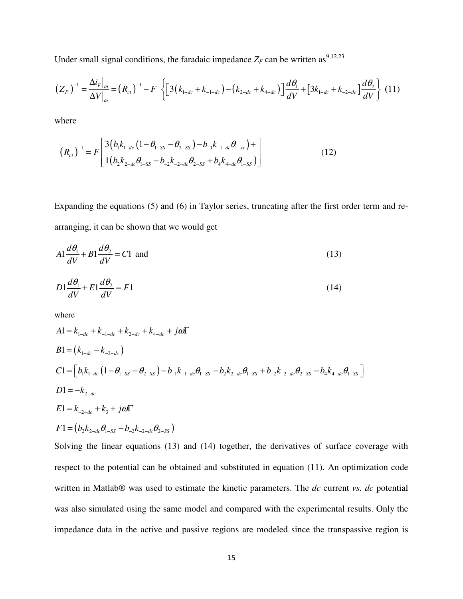Under small signal conditions, the faradaic impedance  $Z_F$  can be written as <sup>9,12,23</sup>

$$
\left(Z_F\right)^{-1} = \frac{\Delta i_F\big|_{\omega}}{\Delta V\big|_{\omega}} = \left(R_{ct}\right)^{-1} - F\left\{\left[3\left(k_{1-dc} + k_{-1-dc}\right) - \left(k_{2-dc} + k_{4-dc}\right)\right]\frac{d\theta_1}{dV} + \left[3k_{1-dc} + k_{-2-dc}\right]\frac{d\theta_2}{dV}\right\} (11)
$$

where

$$
\left(R_{ct}\right)^{-1} = F\left[\frac{3\left(b_1k_{1-dc}\left(1-\theta_{1-SS}-\theta_{2-SS}\right)-b_{-1}k_{-1-dc}\theta_{1-ss}\right)+\right]}{1\left(b_2k_{2-dc}\theta_{1-SS}-b_{-2}k_{-2-dc}\theta_{2-SS}+b_4k_{4-dc}\theta_{1-SS}\right)}\right]
$$
(12)

Expanding the equations (5) and (6) in Taylor series, truncating after the first order term and rearranging, it can be shown that we would get

$$
A1\frac{d\theta_1}{dV} + B1\frac{d\theta_2}{dV} = C1 \text{ and}
$$
 (13)

$$
D1\frac{d\theta_1}{dV} + E1\frac{d\theta_2}{dV} = F1\tag{14}
$$

where

$$
A1 = k_{1-dc} + k_{-1-dc} + k_{2-dc} + k_{4-dc} + j\omega\Gamma
$$
  
\n
$$
B1 = (k_{1-dc} - k_{-2-dc})
$$
  
\n
$$
C1 = [b_1k_{1-dc} (1 - \theta_{1-SS} - \theta_{2-SS}) - b_{-1}k_{-1-dc}\theta_{1-SS} - b_2k_{2-dc}\theta_{1-SS} + b_{-2}k_{-2-dc}\theta_{2-SS} - b_4k_{4-dc}\theta_{1-SS}]
$$
  
\n
$$
D1 = -k_{2-dc}
$$
  
\n
$$
E1 = k_{-2-dc} + k_3 + j\omega\Gamma
$$
  
\n
$$
F1 = (b_2k_{2-dc}\theta_{1-SS} - b_{-2}k_{-2-dc}\theta_{2-SS})
$$

Solving the linear equations (13) and (14) together, the derivatives of surface coverage with respect to the potential can be obtained and substituted in equation (11). An optimization code written in Matlab® was used to estimate the kinetic parameters. The *dc* current *vs. dc* potential was also simulated using the same model and compared with the experimental results. Only the impedance data in the active and passive regions are modeled since the transpassive region is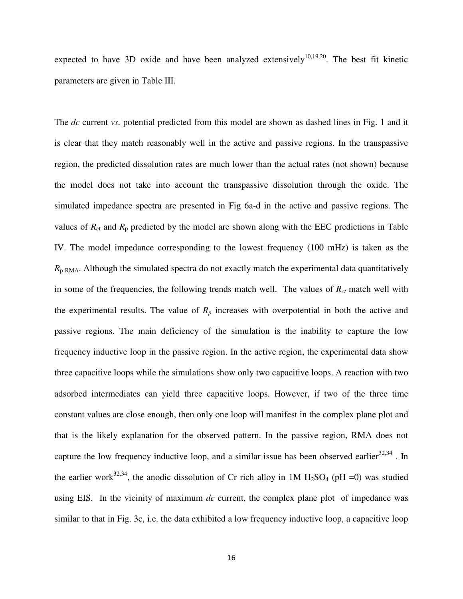expected to have 3D oxide and have been analyzed extensively<sup>10,19,20</sup>. The best fit kinetic parameters are given in Table III.

The *dc* current *vs.* potential predicted from this model are shown as dashed lines in Fig. 1 and it is clear that they match reasonably well in the active and passive regions. In the transpassive region, the predicted dissolution rates are much lower than the actual rates (not shown) because the model does not take into account the transpassive dissolution through the oxide. The simulated impedance spectra are presented in Fig 6a-d in the active and passive regions. The values of  $R_{ct}$  and  $R_p$  predicted by the model are shown along with the EEC predictions in Table IV. The model impedance corresponding to the lowest frequency (100 mHz) is taken as the  $R_{p-RMA}$ . Although the simulated spectra do not exactly match the experimental data quantitatively in some of the frequencies, the following trends match well. The values of  $R<sub>ct</sub>$  match well with the experimental results. The value of  $R_p$  increases with overpotential in both the active and passive regions. The main deficiency of the simulation is the inability to capture the low frequency inductive loop in the passive region. In the active region, the experimental data show three capacitive loops while the simulations show only two capacitive loops. A reaction with two adsorbed intermediates can yield three capacitive loops. However, if two of the three time constant values are close enough, then only one loop will manifest in the complex plane plot and that is the likely explanation for the observed pattern. In the passive region, RMA does not capture the low frequency inductive loop, and a similar issue has been observed earlier $32,34$ . In the earlier work<sup>32,34</sup>, the anodic dissolution of Cr rich alloy in 1M H<sub>2</sub>SO<sub>4</sub> (pH =0) was studied using EIS. In the vicinity of maximum *dc* current, the complex plane plot of impedance was similar to that in Fig. 3c, i.e. the data exhibited a low frequency inductive loop, a capacitive loop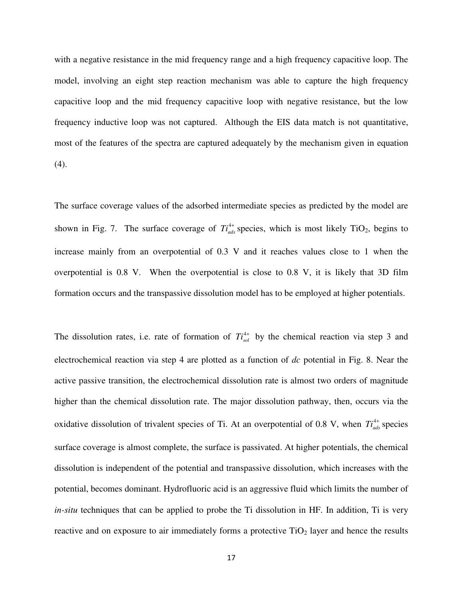with a negative resistance in the mid frequency range and a high frequency capacitive loop. The model, involving an eight step reaction mechanism was able to capture the high frequency capacitive loop and the mid frequency capacitive loop with negative resistance, but the low frequency inductive loop was not captured. Although the EIS data match is not quantitative, most of the features of the spectra are captured adequately by the mechanism given in equation (4).

The surface coverage values of the adsorbed intermediate species as predicted by the model are shown in Fig. 7. The surface coverage of  $Ti_{ads}^{4+}$  species, which is most likely TiO<sub>2</sub>, begins to increase mainly from an overpotential of 0.3 V and it reaches values close to 1 when the overpotential is 0.8 V. When the overpotential is close to 0.8 V, it is likely that 3D film formation occurs and the transpassive dissolution model has to be employed at higher potentials.

The dissolution rates, i.e. rate of formation of  $Ti_{sol}^{4+}$  by the chemical reaction via step 3 and electrochemical reaction via step 4 are plotted as a function of *dc* potential in Fig. 8. Near the active passive transition, the electrochemical dissolution rate is almost two orders of magnitude higher than the chemical dissolution rate. The major dissolution pathway, then, occurs via the oxidative dissolution of trivalent species of Ti. At an overpotential of 0.8 V, when  $T_{ads}^{4+}$  species surface coverage is almost complete, the surface is passivated. At higher potentials, the chemical dissolution is independent of the potential and transpassive dissolution, which increases with the potential, becomes dominant. Hydrofluoric acid is an aggressive fluid which limits the number of *in-situ* techniques that can be applied to probe the Ti dissolution in HF. In addition, Ti is very reactive and on exposure to air immediately forms a protective  $TiO<sub>2</sub>$  layer and hence the results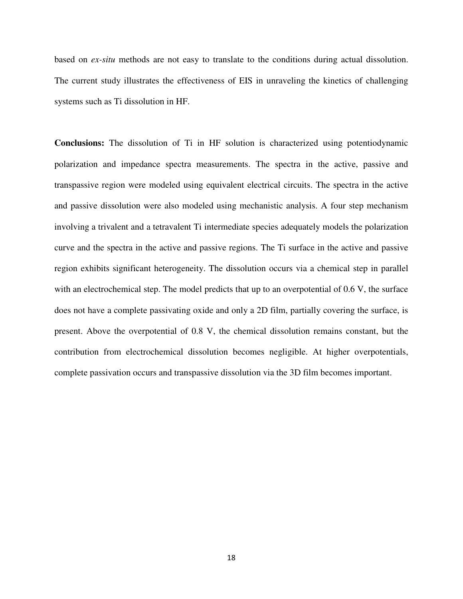based on *ex-situ* methods are not easy to translate to the conditions during actual dissolution. The current study illustrates the effectiveness of EIS in unraveling the kinetics of challenging systems such as Ti dissolution in HF.

**Conclusions:** The dissolution of Ti in HF solution is characterized using potentiodynamic polarization and impedance spectra measurements. The spectra in the active, passive and transpassive region were modeled using equivalent electrical circuits. The spectra in the active and passive dissolution were also modeled using mechanistic analysis. A four step mechanism involving a trivalent and a tetravalent Ti intermediate species adequately models the polarization curve and the spectra in the active and passive regions. The Ti surface in the active and passive region exhibits significant heterogeneity. The dissolution occurs via a chemical step in parallel with an electrochemical step. The model predicts that up to an overpotential of 0.6 V, the surface does not have a complete passivating oxide and only a 2D film, partially covering the surface, is present. Above the overpotential of 0.8 V, the chemical dissolution remains constant, but the contribution from electrochemical dissolution becomes negligible. At higher overpotentials, complete passivation occurs and transpassive dissolution via the 3D film becomes important.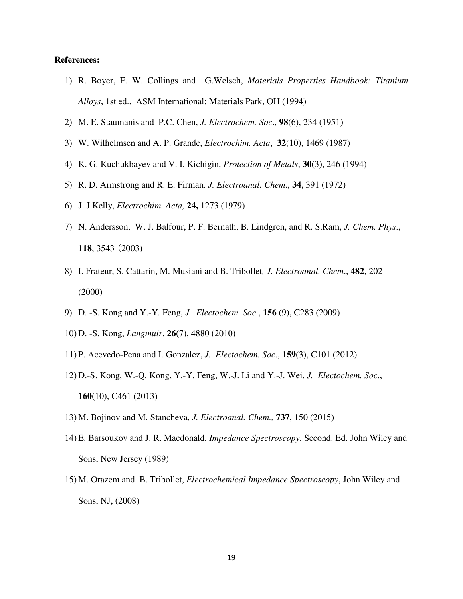#### **References:**

- 1) R. Boyer, E. W. Collings and G.Welsch, *Materials Properties Handbook: Titanium Alloys*, 1st ed., ASM International: Materials Park, OH (1994)
- 2) M. E. Staumanis and P.C. Chen, *J. Electrochem. Soc*., **98**(6), 234 (1951)
- 3) W. Wilhelmsen and A. P. Grande, *Electrochim. Acta*, **32**(10), 1469 (1987)
- 4) K. G. Kuchukbayev and V. I. Kichigin, *Protection of Metals*, **30**(3), 246 (1994)
- 5) R. D. Armstrong and R. E. Firman*, J. Electroanal. Chem*., **34**, 391 (1972)
- 6) J. J.Kelly, *Electrochim. Acta,* **24,** 1273 (1979)
- 7) N. Andersson, W. J. Balfour, P. F. Bernath, B. Lindgren, and R. S.Ram, *J. Chem. Phys*., **118**, 3543 (2003)
- 8) I. Frateur, S. Cattarin, M. Musiani and B. Tribollet*, J. Electroanal. Chem*., **482**, 202 (2000)
- 9) D. -S. Kong and Y.-Y*.* Feng, *J. Electochem. Soc*., **156** (9), C283 (2009)
- 10) D. -S. Kong, *Langmuir*, **26**(7), 4880 (2010)
- 11) P. Acevedo-Pena and I. Gonzalez, *J. Electochem. Soc*., **159**(3), C101 (2012)
- 12) D.-S. Kong, W.-Q. Kong, Y.-Y. Feng, W.-J. Li and Y.-J. Wei, *J. Electochem. Soc*., **160**(10), C461 (2013)
- 13) M. Bojinov and M. Stancheva, *J. Electroanal. Chem.,* **737**, 150 (2015)
- 14) E. Barsoukov and J. R. Macdonald, *Impedance Spectroscopy*, Second. Ed. John Wiley and Sons, New Jersey (1989)
- 15) M. Orazem and B. Tribollet, *Electrochemical Impedance Spectroscopy*, John Wiley and Sons, NJ, (2008)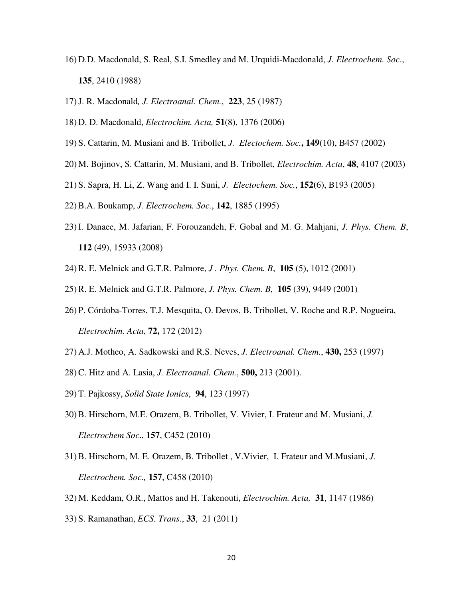- 16) D.D. Macdonald, S. Real, S.I. Smedley and M. Urquidi-Macdonald, *J. Electrochem. Soc*., **135**, 2410 (1988)
- 17)J. R. Macdonald*, J. Electroanal. Chem.*, **223**, 25 (1987)
- 18) D. D. Macdonald, *Electrochim. Acta,* **51**(8), 1376 (2006)
- 19) S. Cattarin, M. Musiani and B. Tribollet, *J. Electochem. Soc.***, 149**(10), B457 (2002)
- 20) M. Bojinov, S. Cattarin, M. Musiani, and B. Tribollet, *Electrochim. Acta*, **48**, 4107 (2003)
- 21) S. Sapra, H. Li, Z. Wang and I. I. Suni, *J. Electochem. Soc.*, **152(**6), B193 (2005)
- 22)B.A. Boukamp, *J. Electrochem. Soc.*, **142**, 1885 (1995)
- 23) I. Danaee, M. Jafarian, F. Forouzandeh, F. Gobal and M. G. Mahjani, *J. Phys. Chem. B*, **112** (49), 15933 (2008)
- 24)R. E. Melnick and G.T.R*.* Palmore, *J . Phys. Chem. B*, **105** (5), 1012 (2001)
- 25)R. E. Melnick and G.T.R. Palmore, *J. Phys. Chem. B,* **105** (39), 9449 (2001)
- 26) P. Córdoba-Torres, T.J. Mesquita, O. Devos, B. Tribollet, V. Roche and R.P. Nogueira, *Electrochim. Acta*, **72,** 172 (2012)
- 27) A.J. Motheo, A. Sadkowski and R.S. Neves, *J. Electroanal. Chem.*, **430,** 253 (1997)
- 28)C. Hitz and A. Lasia, *J. Electroanal. Chem.*, **500,** 213 (2001).
- 29) T. Pajkossy, *Solid State Ionics*, **94**, 123 (1997)
- 30)B. Hirschorn, M.E. Orazem, B. Tribollet, V. Vivier, I. Frateur and M. Musiani, *J. Electrochem Soc*., **157**, C452 (2010)
- 31)B. Hirschorn, M. E. Orazem, B. Tribollet , V.Vivier, I. Frateur and M.Musiani, *J. Electrochem. Soc.,* **157**, C458 (2010)
- 32) M. Keddam, O.R., Mattos and H. Takenouti, *Electrochim. Acta,* **31**, 1147 (1986)
- 33) S. Ramanathan, *ECS. Trans*., **33**, 21 (2011)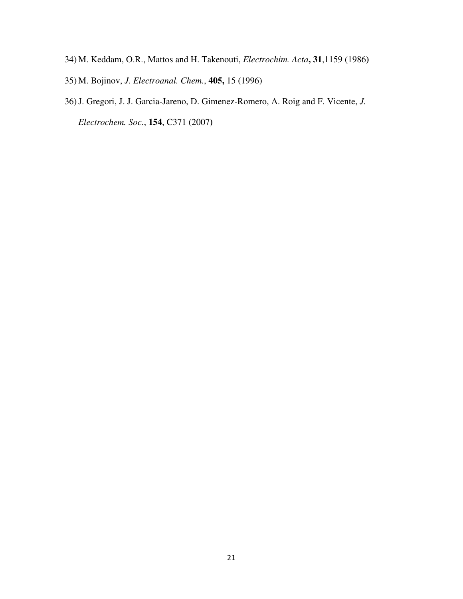- 34) M. Keddam, O.R., Mattos and H. Takenouti, *Electrochim. Acta***, 31**,1159 (1986**)**
- 35) M. Bojinov, *J. Electroanal. Chem.*, **405,** 15 (1996)
- 36)J. Gregori, J. J. Garcia-Jareno, D. Gimenez-Romero, A. Roig and F. Vicente, *J. Electrochem. Soc.*, **154**, C371 (2007**)**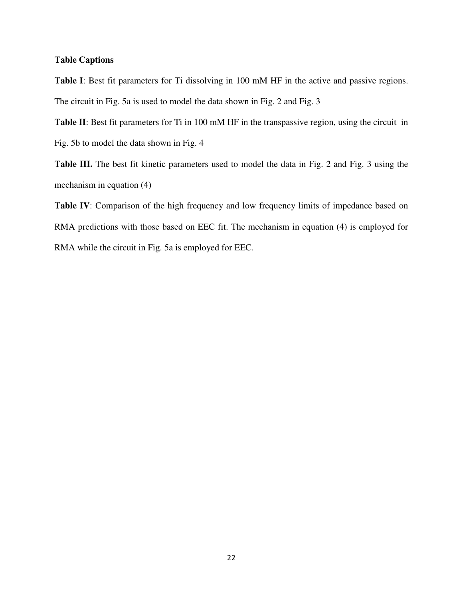## **Table Captions**

**Table I**: Best fit parameters for Ti dissolving in 100 mM HF in the active and passive regions. The circuit in Fig. 5a is used to model the data shown in Fig. 2 and Fig. 3

**Table II**: Best fit parameters for Ti in 100 mM HF in the transpassive region, using the circuit in Fig. 5b to model the data shown in Fig. 4

**Table III.** The best fit kinetic parameters used to model the data in Fig. 2 and Fig. 3 using the mechanism in equation (4)

Table IV: Comparison of the high frequency and low frequency limits of impedance based on RMA predictions with those based on EEC fit. The mechanism in equation (4) is employed for RMA while the circuit in Fig. 5a is employed for EEC.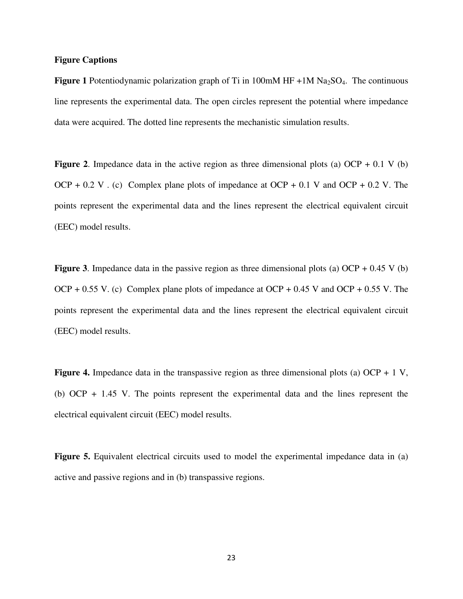## **Figure Captions**

**Figure 1** Potentiodynamic polarization graph of Ti in 100mM HF  $+1M$  Na<sub>2</sub>SO<sub>4</sub>. The continuous line represents the experimental data. The open circles represent the potential where impedance data were acquired. The dotted line represents the mechanistic simulation results.

**Figure 2.** Impedance data in the active region as three dimensional plots (a) OCP  $+$  0.1 V (b) OCP + 0.2 V  $\cdot$  (c) Complex plane plots of impedance at OCP + 0.1 V and OCP + 0.2 V. The points represent the experimental data and the lines represent the electrical equivalent circuit (EEC) model results.

**Figure 3**. Impedance data in the passive region as three dimensional plots (a) OCP + 0.45 V (b) OCP + 0.55 V. (c) Complex plane plots of impedance at OCP + 0.45 V and OCP + 0.55 V. The points represent the experimental data and the lines represent the electrical equivalent circuit (EEC) model results.

**Figure 4.** Impedance data in the transpassive region as three dimensional plots (a) OCP + 1 V, (b) OCP + 1.45 V. The points represent the experimental data and the lines represent the electrical equivalent circuit (EEC) model results.

**Figure 5.** Equivalent electrical circuits used to model the experimental impedance data in (a) active and passive regions and in (b) transpassive regions.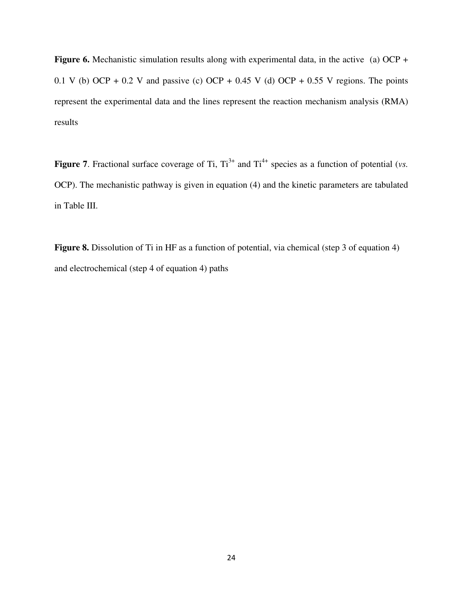**Figure 6.** Mechanistic simulation results along with experimental data, in the active (a) OCP + 0.1 V (b) OCP + 0.2 V and passive (c) OCP + 0.45 V (d) OCP + 0.55 V regions. The points represent the experimental data and the lines represent the reaction mechanism analysis (RMA) results

**Figure 7.** Fractional surface coverage of Ti,  $Ti^{3+}$  and  $Ti^{4+}$  species as a function of potential (*vs.*) OCP). The mechanistic pathway is given in equation (4) and the kinetic parameters are tabulated in Table III.

**Figure 8.** Dissolution of Ti in HF as a function of potential, via chemical (step 3 of equation 4) and electrochemical (step 4 of equation 4) paths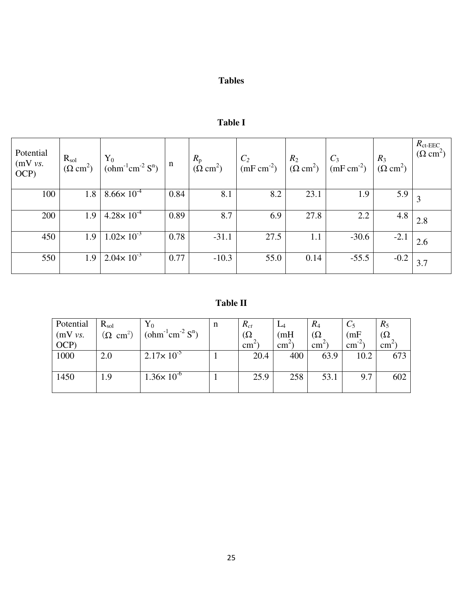# **Tables**

# **Table I**

| Potential<br>(mV vs.<br>OCP) | $R_{sol}$<br>$(\Omega \text{ cm}^2)$ | ${\rm Y}_0$<br>$(\text{ohm}^{-1}\text{cm}^{-2} \text{ S}^n)$ | $\mathbf n$ | $R_{\rm p}$<br>$(\dot{\Omega}$ cm <sup>2</sup> ) | $C_2$<br>$(mF cm-2)$ | $R_2$<br>$(\Omega \text{ cm}^2)$ | $C_3$<br>$(mF cm-2)$ | $R_3$<br>$(\Omega$ cm <sup>2</sup> ) | $R_{\rm ct-EEC}$<br>$(\Omega \text{ cm}^2)$ |
|------------------------------|--------------------------------------|--------------------------------------------------------------|-------------|--------------------------------------------------|----------------------|----------------------------------|----------------------|--------------------------------------|---------------------------------------------|
| 100                          | 1.8                                  | $8.66 \times 10^{-4}$                                        | 0.84        | 8.1                                              | 8.2                  | 23.1                             | 1.9                  | 5.9                                  |                                             |
| 200                          | 1.9                                  | $4.28 \times 10^{-4}$                                        | 0.89        | 8.7                                              | 6.9                  | 27.8                             | 2.2                  | 4.8                                  | 2.8                                         |
| 450                          | 1.9                                  | $1.02 \times 10^{-3}$                                        | 0.78        | $-31.1$                                          | 27.5                 | 1.1                              | $-30.6$              | $-2.1$                               | 2.6                                         |
| 550                          | 1.9                                  | $2.04 \times 10^{-3}$                                        | 0.77        | $-10.3$                                          | 55.0                 | 0.14                             | $-55.5$              | $-0.2$                               | 3.7                                         |

**Table II**

| Potential | $R_{\rm sol}$           | ${\rm Y}_0$                                 | n | $R_{ct}$      | $L_4$         | $R_4$           |                  | $R_5$           |
|-----------|-------------------------|---------------------------------------------|---|---------------|---------------|-----------------|------------------|-----------------|
| (mV vs.   | $(\Omega \text{ cm}^2)$ | (ohm <sup>-1</sup> cm <sup>-2</sup> $S^n$ ) |   | $\Omega$      | (mH)          | $\Omega$        | (mF)             | $\Omega$        |
| OCP       |                         |                                             |   | $\text{cm}^2$ | $\text{cm}^2$ | cm <sup>2</sup> | $\text{cm}^{-2}$ | cm <sup>2</sup> |
| 1000      | 2.0                     | $2.17 \times 10^{-5}$                       |   | 20.4          | 400           | 63.9            | 10.2             | 673             |
|           |                         |                                             |   |               |               |                 |                  |                 |
| 1450      | 1.9                     | $1.36 \times 10^{-6}$                       |   | 25.9          | 258           | 53.1            | 9.7              | 602             |
|           |                         |                                             |   |               |               |                 |                  |                 |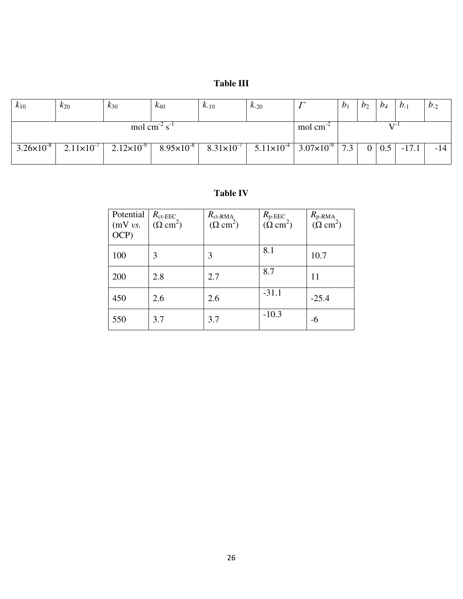# **Table III**

| $k_{10}$                             | $k_{20}$              | $k_{30}$            | $k_{40}$                       | $K_{-10}$             | $k_{-20}$             |                     | $\mathcal{D}_1$ | $b_2$ | $b_4$        | $b_{-1}$ | $b_{-2}$ |
|--------------------------------------|-----------------------|---------------------|--------------------------------|-----------------------|-----------------------|---------------------|-----------------|-------|--------------|----------|----------|
| mol cm <sup>-2</sup> s <sup>-1</sup> |                       |                     |                                |                       |                       | mol cm              |                 |       |              |          |          |
| $3.26 \times 10^{-8}$                | $2.11 \times 10^{-7}$ | $2.12\times10^{-9}$ | 8.95 $\times$ 10 <sup>-8</sup> | 8.31×10 <sup>-7</sup> | $5.11 \times 10^{-4}$ | $3.07\times10^{-9}$ | 7.3             |       | $0 \mid 0.5$ | $-17.1$  | $-14$    |

## **Table IV**

| Potential<br>(mV vs.<br>OCP) | $R_{\text{ct-EEC}}$<br>$(\Omega \text{ cm}^2)$ | $R_{\text{ct-RMA}}$<br>$(\Omega \text{ cm}^2)$ | $R_{\rm p-EEC}$<br>$(\Omega \text{ cm}^2)$ | $R_{\text{p-RMA}_{i}}$<br>$(\Omega \text{ cm}^2)$ |
|------------------------------|------------------------------------------------|------------------------------------------------|--------------------------------------------|---------------------------------------------------|
| 100                          | 3                                              | 3                                              | 8.1                                        | 10.7                                              |
| 200                          | 2.8                                            | 2.7                                            | 8.7                                        | 11                                                |
| 450                          | 2.6                                            | 2.6                                            | $-31.1$                                    | $-25.4$                                           |
| 550                          | 3.7                                            | 3.7                                            | $-10.3$                                    | -6                                                |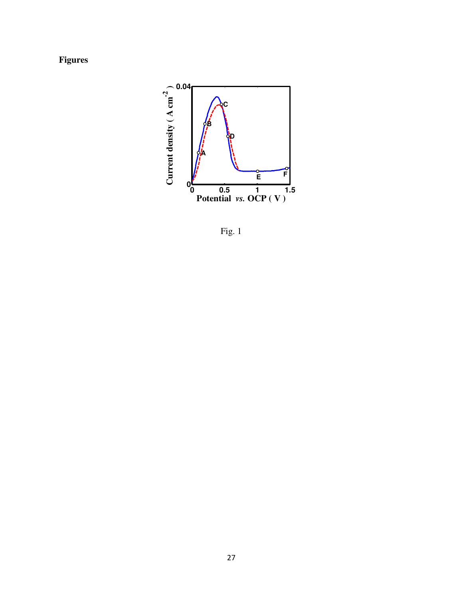**Figures** 



Fig. 1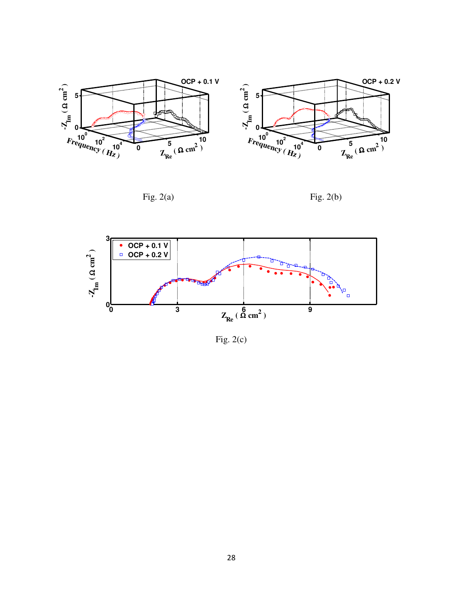





Fig.  $2(c)$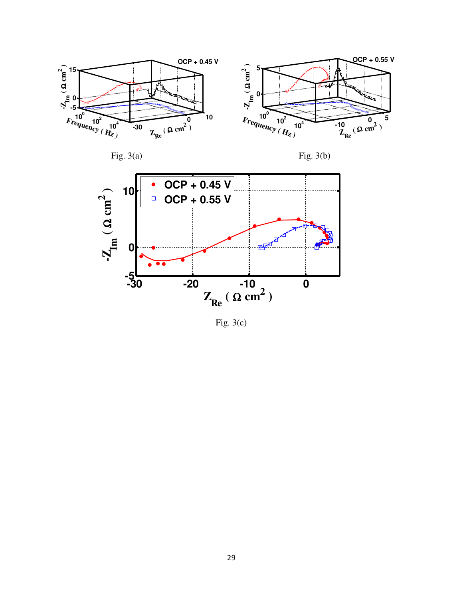







Fig.  $3(c)$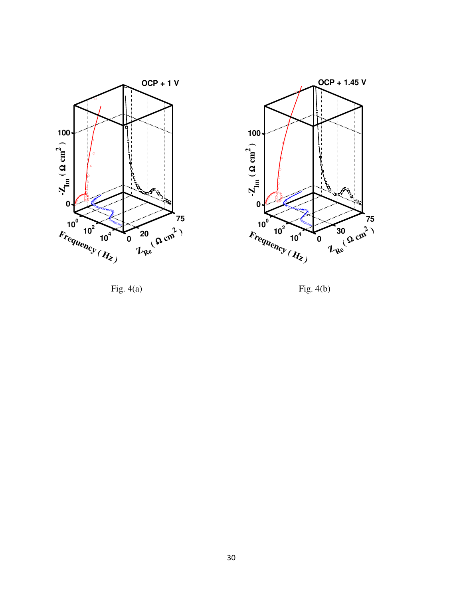



Fig.  $4(a)$  Fig.  $4(b)$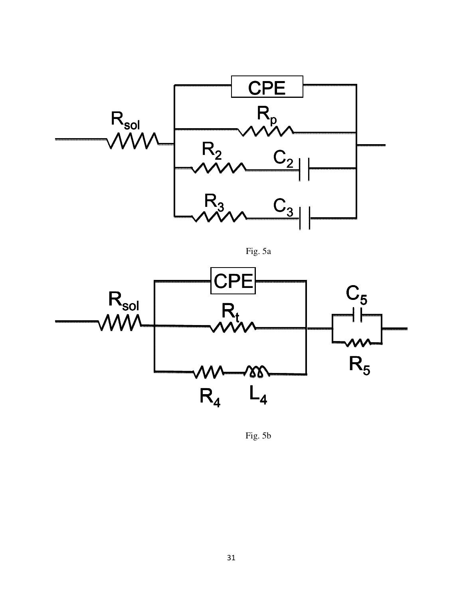

Fig. 5a



Fig. 5b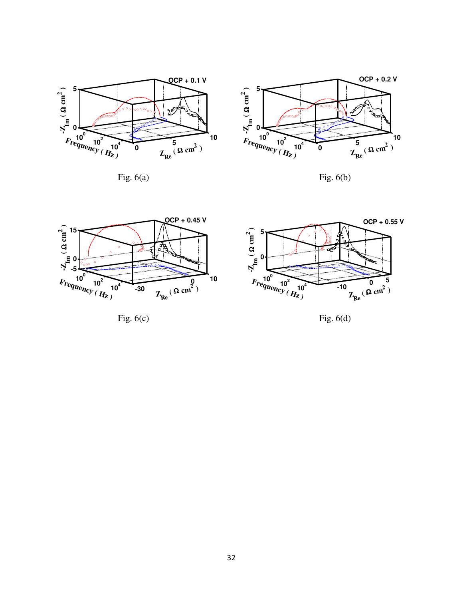

Fig.  $6(a)$  Fig.  $6(b)$ 





Fig.  $6(c)$  Fig.  $6(d)$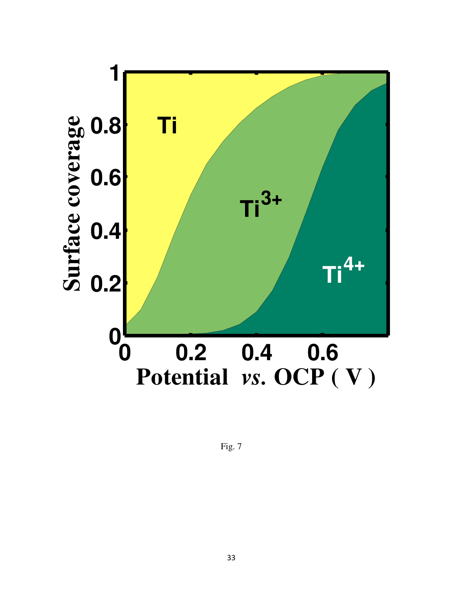

Fig. 7